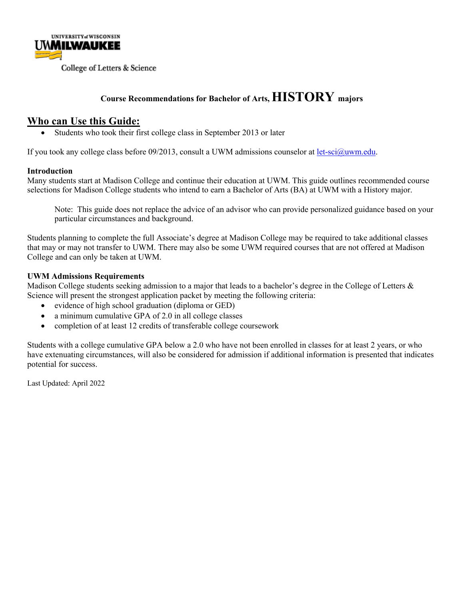

#### **Course Recommendations for Bachelor of Arts, HISTORY majors**

#### **Who can Use this Guide:**

• Students who took their first college class in September 2013 or later

If you took any college class before 09/2013, consult a UWM admissions counselor at let-sci@uwm.edu.

#### **Introduction**

Many students start at Madison College and continue their education at UWM. This guide outlines recommended course selections for Madison College students who intend to earn a Bachelor of Arts (BA) at UWM with a History major.

Note: This guide does not replace the advice of an advisor who can provide personalized guidance based on your particular circumstances and background.

Students planning to complete the full Associate's degree at Madison College may be required to take additional classes that may or may not transfer to UWM. There may also be some UWM required courses that are not offered at Madison College and can only be taken at UWM.

#### **UWM Admissions Requirements**

Madison College students seeking admission to a major that leads to a bachelor's degree in the College of Letters & Science will present the strongest application packet by meeting the following criteria:

- evidence of high school graduation (diploma or GED)
- a minimum cumulative GPA of 2.0 in all college classes
- completion of at least 12 credits of transferable college coursework

Students with a college cumulative GPA below a 2.0 who have not been enrolled in classes for at least 2 years, or who have extenuating circumstances, will also be considered for admission if additional information is presented that indicates potential for success.

Last Updated: April 2022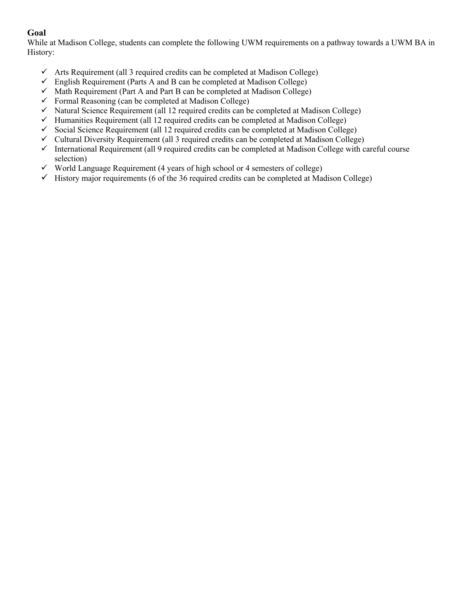#### **Goal**

While at Madison College, students can complete the following UWM requirements on a pathway towards a UWM BA in History:

- $\checkmark$  Arts Requirement (all 3 required credits can be completed at Madison College)
- $\checkmark$  English Requirement (Parts A and B can be completed at Madison College)
- $\checkmark$  Math Requirement (Part A and Part B can be completed at Madison College)
- $\checkmark$  Formal Reasoning (can be completed at Madison College)
- $\checkmark$  Natural Science Requirement (all 12 required credits can be completed at Madison College)
- $\checkmark$  Humanities Requirement (all 12 required credits can be completed at Madison College)
- $\checkmark$  Social Science Requirement (all 12 required credits can be completed at Madison College)
- $\checkmark$  Cultural Diversity Requirement (all 3 required credits can be completed at Madison College)
- $\checkmark$  International Requirement (all 9 required credits can be completed at Madison College with careful course selection)
- $\checkmark$  World Language Requirement (4 years of high school or 4 semesters of college)
- $\checkmark$  History major requirements (6 of the 36 required credits can be completed at Madison College)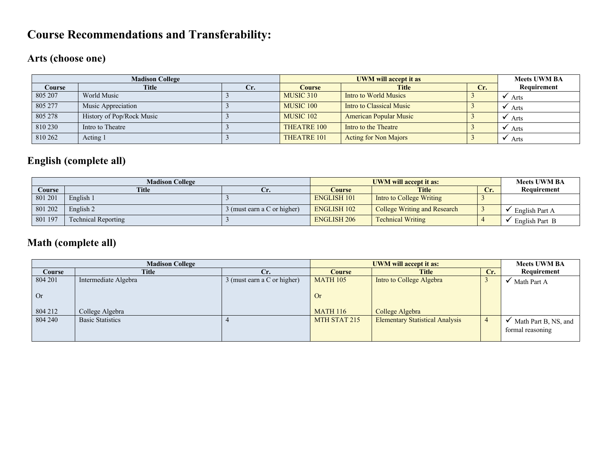## **Course Recommendations and Transferability:**

## **Arts (choose one)**

|         | <b>Madison College</b>    |     |                      | <b>Meets UWM BA</b>           |     |             |
|---------|---------------------------|-----|----------------------|-------------------------------|-----|-------------|
| Course  | Title                     | Cr. | <b>Course</b>        | <b>Title</b>                  | Cr. | Requirement |
| 805 207 | World Music               |     | MUSIC 310            | Intro to World Musics         |     | Arts        |
| 805 277 | Music Appreciation        |     | MUSIC 100            | Intro to Classical Music      |     | Arts        |
| 805 278 | History of Pop/Rock Music |     | MUSIC <sub>102</sub> | <b>American Popular Music</b> |     | Arts        |
| 810 230 | Intro to Theatre          |     | <b>THEATRE 100</b>   | Intro to the Theatre          |     | Arts        |
| 810 262 | Acting 1                  |     | THEATRE 101          | <b>Acting for Non Majors</b>  |     | Arts        |

## **English (complete all)**

|               | <b>Madison College</b>     |                             | UWM will accept it as: | <b>Meets UWM BA</b>                 |     |                |
|---------------|----------------------------|-----------------------------|------------------------|-------------------------------------|-----|----------------|
| <b>Course</b> | <b>Title</b>               | Ur.                         | <b>Course</b>          | <b>Title</b>                        | Cr. | Requirement    |
| 801 201       | English 1                  |                             | <b>ENGLISH 101</b>     | <b>Intro to College Writing</b>     |     |                |
| 801 202       | English 2                  | 3 (must earn a C or higher) | <b>ENGLISH 102</b>     | <b>College Writing and Research</b> |     | English Part A |
| 801 197       | <b>Technical Reporting</b> |                             | <b>ENGLISH 206</b>     | <b>Technical Writing</b>            |     | English Part B |

## **Math (complete all)**

|           | <b>Madison College</b>  |                             | <b>UWM will accept it as:</b>        | <b>Meets UWM BA</b>                    |                |                                          |
|-----------|-------------------------|-----------------------------|--------------------------------------|----------------------------------------|----------------|------------------------------------------|
| Course    | <b>Title</b>            | Cr.                         | Cr.<br><b>Title</b><br><b>Course</b> |                                        | Requirement    |                                          |
| 804 201   | Intermediate Algebra    | 3 (must earn a C or higher) | <b>MATH 105</b>                      | Intro to College Algebra               |                | Math Part A                              |
| <b>Or</b> |                         |                             | Or                                   |                                        |                |                                          |
| 804 212   | College Algebra         |                             | <b>MATH 116</b>                      | College Algebra                        |                |                                          |
| 804 240   | <b>Basic Statistics</b> |                             | MTH STAT 215                         | <b>Elementary Statistical Analysis</b> | $\overline{4}$ | Math Part B, NS, and<br>formal reasoning |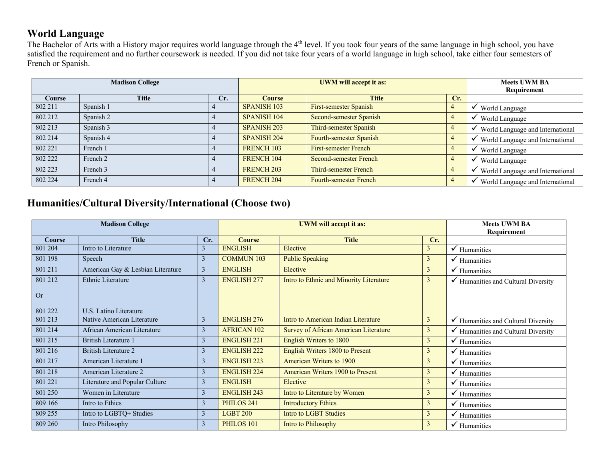## **World Language**

The Bachelor of Arts with a History major requires world language through the 4<sup>th</sup> level. If you took four years of the same language in high school, you have satisfied the requirement and no further coursework is needed. If you did not take four years of a world language in high school, take either four semesters of French or Spanish.

| <b>Madison College</b> |              |     |                    | <b>UWM</b> will accept it as: | <b>Meets UWM BA</b><br>Requirement |                                  |
|------------------------|--------------|-----|--------------------|-------------------------------|------------------------------------|----------------------------------|
| Course                 | <b>Title</b> | Cr. | Course             | <b>Title</b>                  | Cr.                                |                                  |
| 802 211                | Spanish 1    |     | <b>SPANISH 103</b> | First-semester Spanish        |                                    | World Language                   |
| 802 212                | Spanish 2    |     | <b>SPANISH 104</b> | Second-semester Spanish       |                                    | World Language                   |
| 802 213                | Spanish 3    |     | <b>SPANISH 203</b> | Third-semester Spanish        |                                    | World Language and International |
| 802 214                | Spanish 4    |     | <b>SPANISH 204</b> | Fourth-semester Spanish       |                                    | World Language and International |
| 802 221                | French 1     |     | <b>FRENCH 103</b>  | <b>First-semester French</b>  |                                    | World Language                   |
| 802 222                | French 2     |     | <b>FRENCH 104</b>  | Second-semester French        |                                    | World Language                   |
| 802 223                | French 3     |     | <b>FRENCH 203</b>  | Third-semester French         |                                    | World Language and International |
| 802 224                | French 4     |     | <b>FRENCH 204</b>  | Fourth-semester French        |                                    | World Language and International |

#### **Humanities/Cultural Diversity/International (Choose two)**

| <b>Madison College</b> |                                   |                |                       | <b>UWM</b> will accept it as:           | <b>Meets UWM BA</b><br>Requirement |                                                |
|------------------------|-----------------------------------|----------------|-----------------------|-----------------------------------------|------------------------------------|------------------------------------------------|
| <b>Course</b>          | <b>Title</b>                      | Cr.            | <b>Course</b>         | <b>Title</b>                            | Cr.                                |                                                |
| 801 204                | Intro to Literature               | 3              | <b>ENGLISH</b>        | Elective                                | 3                                  | $\checkmark$ Humanities                        |
| 801 198                | Speech                            | 3              | <b>COMMUN 103</b>     | <b>Public Speaking</b>                  | 3                                  | $\checkmark$ Humanities                        |
| 801 211                | American Gay & Lesbian Literature | 3              | <b>ENGLISH</b>        | Elective                                | 3                                  | $\checkmark$ Humanities                        |
| 801 212                | <b>Ethnic Literature</b>          | 3              | <b>ENGLISH 277</b>    | Intro to Ethnic and Minority Literature | 3                                  | $\checkmark$ Humanities and Cultural Diversity |
| <b>Or</b>              |                                   |                |                       |                                         |                                    |                                                |
| 801 222                | U.S. Latino Literature            |                |                       |                                         |                                    |                                                |
| 801 213                | Native American Literature        | 3              | <b>ENGLISH 276</b>    | Intro to American Indian Literature     | 3                                  | Humanities and Cultural Diversity              |
| 801 214                | African American Literature       | $\mathfrak{Z}$ | <b>AFRICAN 102</b>    | Survey of African American Literature   | 3                                  | Humanities and Cultural Diversity              |
| 801 215                | <b>British Literature 1</b>       | 3              | <b>ENGLISH 221</b>    | English Writers to 1800                 | 3                                  | $\checkmark$ Humanities                        |
| 801 216                | <b>British Literature 2</b>       | 3              | <b>ENGLISH 222</b>    | English Writers 1800 to Present         | 3                                  | $\checkmark$ Humanities                        |
| 801 217                | American Literature 1             | 3              | <b>ENGLISH 223</b>    | American Writers to 1900                | 3                                  | $\checkmark$ Humanities                        |
| 801 218                | American Literature 2             | 3              | <b>ENGLISH 224</b>    | American Writers 1900 to Present        | 3                                  | $\checkmark$ Humanities                        |
| 801 221                | Literature and Popular Culture    | 3              | <b>ENGLISH</b>        | Elective                                | 3                                  | $\checkmark$ Humanities                        |
| 801 250                | Women in Literature               | 3              | <b>ENGLISH 243</b>    | Intro to Literature by Women            | 3                                  | $\checkmark$ Humanities                        |
| 809 166                | Intro to Ethics                   | 3              | PHILOS <sub>241</sub> | <b>Introductory Ethics</b>              | 3                                  | $\checkmark$ Humanities                        |
| 809 255                | Intro to LGBTQ+ Studies           | 3              | <b>LGBT 200</b>       | <b>Intro to LGBT Studies</b>            | 3                                  | $\checkmark$ Humanities                        |
| 809 260                | Intro Philosophy                  | 3              | PHILOS 101            | Intro to Philosophy                     | 3                                  | $\checkmark$ Humanities                        |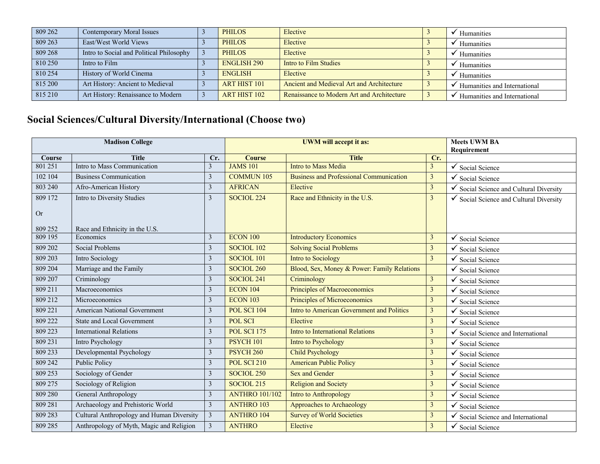| 809 262 | Contemporary Moral Issues                | <b>PHILOS</b>       | Elective                                   | Humanities                   |
|---------|------------------------------------------|---------------------|--------------------------------------------|------------------------------|
| 809 263 | East/West World Views                    | <b>PHILOS</b>       | Elective                                   | Humanities                   |
| 809 268 | Intro to Social and Political Philosophy | <b>PHILOS</b>       | Elective                                   | Humanities                   |
| 810 250 | Intro to Film                            | <b>ENGLISH 290</b>  | Intro to Film Studies                      | Humanities                   |
| 810 254 | History of World Cinema                  | <b>ENGLISH</b>      | Elective                                   | Humanities                   |
| 815 200 | Art History: Ancient to Medieval         | <b>ART HIST 101</b> | Ancient and Medieval Art and Architecture  | Humanities and International |
| 815 210 | Art History: Renaissance to Modern       | <b>ART HIST 102</b> | Renaissance to Modern Art and Architecture | Humanities and International |

# **Social Sciences/Cultural Diversity/International (Choose two)**

| <b>Madison College</b> |                                           |                         | <b>UWM</b> will accept it as: |                                                |                | <b>Meets UWM BA</b><br>Requirement    |
|------------------------|-------------------------------------------|-------------------------|-------------------------------|------------------------------------------------|----------------|---------------------------------------|
| Course                 | <b>Title</b>                              | Cr.                     | <b>Course</b>                 | <b>Title</b>                                   | Cr.            |                                       |
| 801 251                | Intro to Mass Communication               | $\overline{\mathbf{3}}$ | <b>JAMS 101</b>               | <b>Intro to Mass Media</b>                     | 3              | Social Science                        |
| 102 104                | <b>Business Communication</b>             | $\mathfrak{Z}$          | <b>COMMUN 105</b>             | <b>Business and Professional Communication</b> | 3              | Social Science                        |
| 803 240                | Afro-American History                     | 3                       | <b>AFRICAN</b>                | Elective                                       | 3              | Social Science and Cultural Diversity |
| 809 172                | Intro to Diversity Studies                | $\overline{3}$          | SOCIOL <sub>224</sub>         | Race and Ethnicity in the U.S.                 | $\mathfrak{Z}$ | Social Science and Cultural Diversity |
| <b>Or</b>              |                                           |                         |                               |                                                |                |                                       |
| 809 252                | Race and Ethnicity in the U.S.            |                         |                               |                                                |                |                                       |
| 809 195                | Economics                                 | 3                       | <b>ECON 100</b>               | <b>Introductory Economics</b>                  | 3              | Social Science                        |
| 809 202                | Social Problems                           | $\overline{3}$          | SOCIOL 102                    | <b>Solving Social Problems</b>                 | 3              | Social Science                        |
| 809 203                | Intro Sociology                           | $\mathfrak{Z}$          | SOCIOL 101                    | <b>Intro to Sociology</b>                      | $\mathbf{3}$   | Social Science                        |
| 809 204                | Marriage and the Family                   | 3                       | SOCIOL <sub>260</sub>         | Blood, Sex, Money & Power: Family Relations    |                | Social Science                        |
| 809 207                | Criminology                               | $\mathfrak{Z}$          | SOCIOL 241                    | Criminology                                    | $\mathfrak{Z}$ | Social Science                        |
| 809 211                | Macroeconomics                            | $\mathfrak{Z}$          | <b>ECON 104</b>               | Principles of Macroeconomics                   | 3              | Social Science                        |
| 809 212                | Microeconomics                            | 3                       | <b>ECON 103</b>               | Principles of Microeconomics                   | 3              | Social Science                        |
| 809 221                | <b>American National Government</b>       | $\mathfrak{Z}$          | POL SCI 104                   | Intro to American Government and Politics      | 3              | Social Science                        |
| 809 222                | <b>State and Local Government</b>         | $\mathfrak{Z}$          | <b>POL SCI</b>                | Elective                                       | 3              | Social Science                        |
| 809 223                | <b>International Relations</b>            | $\mathfrak{Z}$          | <b>POL SCI 175</b>            | Intro to International Relations               | 3              | Social Science and International      |
| 809 231                | Intro Psychology                          | $\overline{3}$          | <b>PSYCH 101</b>              | Intro to Psychology                            | 3              | Social Science                        |
| 809 233                | Developmental Psychology                  | 3                       | <b>PSYCH 260</b>              | <b>Child Psychology</b>                        | 3              | Social Science                        |
| 809 242                | <b>Public Policy</b>                      | $\overline{3}$          | POL SCI 210                   | <b>American Public Policy</b>                  | 3              | Social Science                        |
| 809 253                | Sociology of Gender                       | 3                       | SOCIOL <sub>250</sub>         | <b>Sex and Gender</b>                          | 3              | Social Science                        |
| 809 275                | Sociology of Religion                     | 3                       | SOCIOL <sub>215</sub>         | <b>Religion and Society</b>                    | 3              | Social Science                        |
| 809 280                | General Anthropology                      | $\mathfrak{Z}$          | <b>ANTHRO 101/102</b>         | Intro to Anthropology                          | 3              | Social Science                        |
| 809 281                | Archaeology and Prehistoric World         | 3                       | <b>ANTHRO 103</b>             | Approaches to Archaeology                      | 3              | Social Science                        |
| 809 283                | Cultural Anthropology and Human Diversity | $\mathfrak{Z}$          | <b>ANTHRO 104</b>             | <b>Survey of World Societies</b>               | 3              | Social Science and International      |
| 809 285                | Anthropology of Myth, Magic and Religion  | $\mathfrak{Z}$          | <b>ANTHRO</b>                 | Elective                                       | 3              | Social Science                        |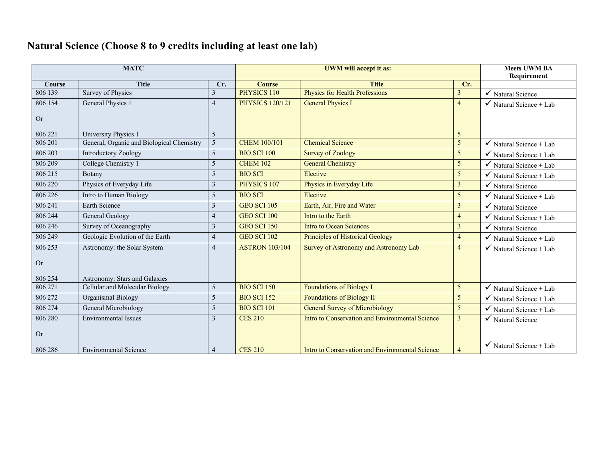## **Natural Science (Choose 8 to 9 credits including at least one lab)**

| <b>MATC</b> |                                           |                |                        | <b>Meets UWM BA</b><br>Requirement              |                 |                                    |
|-------------|-------------------------------------------|----------------|------------------------|-------------------------------------------------|-----------------|------------------------------------|
| Course      | <b>Title</b>                              | Cr.            | <b>Course</b>          | <b>Title</b>                                    | Cr.             |                                    |
| 806 139     | <b>Survey of Physics</b>                  | 3              | PHYSICS 110            | <b>Physics for Health Professions</b>           | 3               | $\checkmark$ Natural Science       |
| 806 154     | General Physics 1                         | 4              | <b>PHYSICS 120/121</b> | <b>General Physics I</b>                        | $\overline{4}$  | $\checkmark$ Natural Science + Lab |
| <b>Or</b>   |                                           |                |                        |                                                 |                 |                                    |
| 806 221     | University Physics 1                      | 5              |                        |                                                 | -5              |                                    |
| 806 201     | General, Organic and Biological Chemistry | $\overline{5}$ | <b>CHEM 100/101</b>    | <b>Chemical Science</b>                         | $\overline{5}$  | $\checkmark$ Natural Science + Lab |
| 806 203     | Introductory Zoology                      | 5              | <b>BIO SCI 100</b>     | <b>Survey of Zoology</b>                        | $5\overline{)}$ | $\checkmark$ Natural Science + Lab |
| 806 209     | College Chemistry 1                       | 5              | <b>CHEM 102</b>        | <b>General Chemistry</b>                        | 5               | Natural Science + Lab              |
| 806 215     | Botany                                    | 5              | <b>BIO SCI</b>         | Elective                                        | 5               | Natural Science + Lab              |
| 806 220     | Physics of Everyday Life                  | 3              | PHYSICS 107            | Physics in Everyday Life                        | $\mathfrak{Z}$  | $\checkmark$ Natural Science       |
| 806 226     | Intro to Human Biology                    | 5              | <b>BIO SCI</b>         | Elective                                        | 5               | Natural Science + Lab              |
| 806 241     | Earth Science                             | 3              | <b>GEO SCI 105</b>     | Earth, Air, Fire and Water                      | $\overline{3}$  | Natural Science                    |
| 806 244     | General Geology                           | 4              | GEO SCI 100            | Intro to the Earth                              | $\overline{4}$  | Natural Science + Lab              |
| 806 246     | Survey of Oceanography                    | 3              | <b>GEO SCI 150</b>     | <b>Intro to Ocean Sciences</b>                  | $\mathfrak{Z}$  | Natural Science                    |
| 806 249     | Geologic Evolution of the Earth           | 4              | <b>GEO SCI 102</b>     | <b>Principles of Historical Geology</b>         | $\overline{4}$  | Natural Science + Lab              |
| 806 253     | Astronomy: the Solar System               | 4              | <b>ASTRON 103/104</b>  | Survey of Astronomy and Astronomy Lab           | $\overline{4}$  | $\checkmark$ Natural Science + Lab |
| <b>Or</b>   |                                           |                |                        |                                                 |                 |                                    |
| 806 254     | Astronomy: Stars and Galaxies             |                |                        |                                                 |                 |                                    |
| 806 271     | Cellular and Molecular Biology            | 5              | <b>BIO SCI 150</b>     | <b>Foundations of Biology I</b>                 | 5               | $\checkmark$ Natural Science + Lab |
| 806 272     | Organismal Biology                        | 5              | <b>BIO SCI 152</b>     | <b>Foundations of Biology II</b>                | $5\overline{)}$ | Natural Science + Lab              |
| 806 274     | General Microbiology                      | 5              | <b>BIO SCI 101</b>     | <b>General Survey of Microbiology</b>           | 5               | $\checkmark$ Natural Science + Lab |
| 806 280     | <b>Environmental Issues</b>               | 3              | <b>CES 210</b>         | Intro to Conservation and Environmental Science | $\overline{3}$  | $\checkmark$ Natural Science       |
| <b>Or</b>   |                                           |                |                        |                                                 |                 | $\checkmark$ Natural Science + Lab |
| 806 286     | <b>Environmental Science</b>              | 4              | <b>CES 210</b>         | Intro to Conservation and Environmental Science | $\overline{4}$  |                                    |